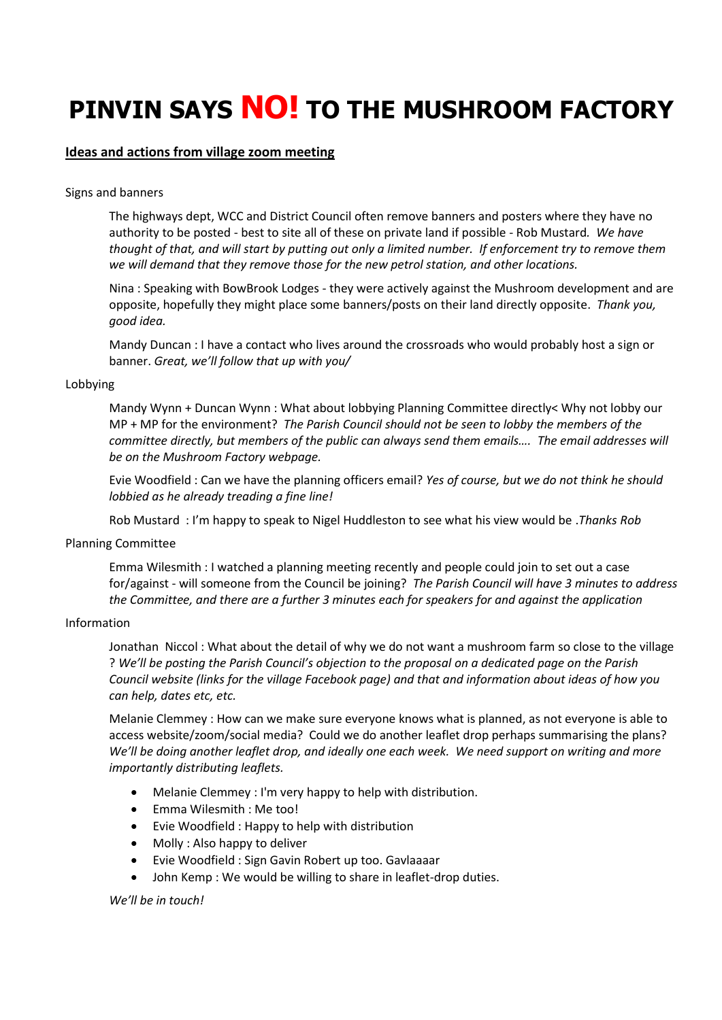# **PINVIN SAYS NO! TO THE MUSHROOM FACTORY**

## **Ideas and actions from village zoom meeting**

## Signs and banners

The highways dept, WCC and District Council often remove banners and posters where they have no authority to be posted - best to site all of these on private land if possible - Rob Mustard*. We have thought of that, and will start by putting out only a limited number. If enforcement try to remove them we will demand that they remove those for the new petrol station, and other locations.*

Nina : Speaking with BowBrook Lodges - they were actively against the Mushroom development and are opposite, hopefully they might place some banners/posts on their land directly opposite. *Thank you, good idea.*

Mandy Duncan : I have a contact who lives around the crossroads who would probably host a sign or banner. *Great, we'll follow that up with you/*

## Lobbying

Mandy Wynn + Duncan Wynn : What about lobbying Planning Committee directly< Why not lobby our MP + MP for the environment? *The Parish Council should not be seen to lobby the members of the committee directly, but members of the public can always send them emails…. The email addresses will be on the Mushroom Factory webpage.* 

Evie Woodfield : Can we have the planning officers email? *Yes of course, but we do not think he should lobbied as he already treading a fine line!*

Rob Mustard : I'm happy to speak to Nigel Huddleston to see what his view would be .*Thanks Rob*

## Planning Committee

Emma Wilesmith : I watched a planning meeting recently and people could join to set out a case for/against - will someone from the Council be joining? *The Parish Council will have 3 minutes to address the Committee, and there are a further 3 minutes each for speakers for and against the application* 

## Information

Jonathan Niccol : What about the detail of why we do not want a mushroom farm so close to the village ? *We'll be posting the Parish Council's objection to the proposal on a dedicated page on the Parish Council website (links for the village Facebook page) and that and information about ideas of how you can help, dates etc, etc.*

Melanie Clemmey : How can we make sure everyone knows what is planned, as not everyone is able to access website/zoom/social media? Could we do another leaflet drop perhaps summarising the plans? *We'll be doing another leaflet drop, and ideally one each week. We need support on writing and more importantly distributing leaflets.*

- Melanie Clemmey : I'm very happy to help with distribution.
- Emma Wilesmith : Me too!
- Evie Woodfield : Happy to help with distribution
- Molly : Also happy to deliver
- Evie Woodfield : Sign Gavin Robert up too. Gavlaaaar
- John Kemp : We would be willing to share in leaflet-drop duties.

*We'll be in touch!*